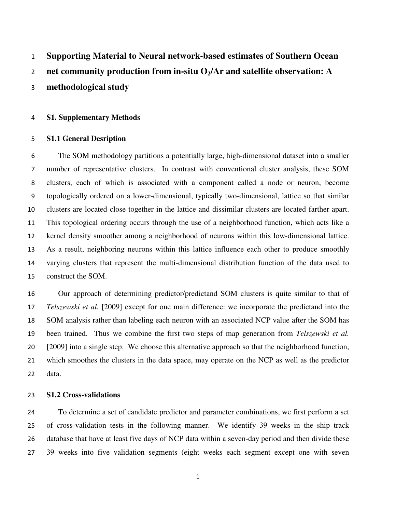#### $\mathbf{1}$ Supporting Material to Neural network-based estimates of Southern Ocean

# 2 net community production from in-situ  $O<sub>2</sub>/Ar$  and satellite observation: A

methodological study

### S1. Supplementary Methods

#### S1.1 General Desription

 The SOM methodology partitions a potentially large, high-dimensional dataset into a smaller number of representative clusters. In contrast with conventional cluster analysis, these SOM clusters, each of which is associated with a component called a node or neuron, become 9 topologically ordered on a lower-dimensional, typically two-dimensional, lattice so that similar 10 clusters are located close together in the lattice and dissimilar clusters are located farther apart.  $11$  This topological ordering occurs through the use of a neighborhood function, which acts like a 12 kernel density smoother among a neighborhood of neurons within this low-dimensional lattice. 13 As a result, neighboring neurons within this lattice influence each other to produce smoothly 14 varying clusters that represent the multi-dimensional distribution function of the data used to 15 construct the SOM.

16 Our approach of determining predictor/predictand SOM clusters is quite similar to that of 17 Telszewski et al. [2009] except for one main difference: we incorporate the predictand into the 18 SOM analysis rather than labeling each neuron with an associated NCP value after the SOM has 19 been trained. Thus we combine the first two steps of map generation from Telszewski et al. [2009] into a single step. We choose this alternative approach so that the neighborhood function, 21 which smoothes the clusters in the data space, may operate on the NCP as well as the predictor 22 data.

## S1.2 Cross-validations

 To determine a set of candidate predictor and parameter combinations, we first perform a set of cross-validation tests in the following manner. We identify 39 weeks in the ship track database that have at least five days of NCP data within a seven-day period and then divide these 39 weeks into five validation segments (eight weeks each segment except one with seven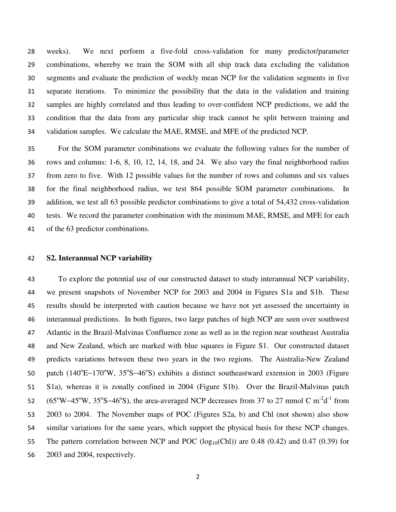29 combinations, whereby we train the SOM with all ship track data excluding the validation segments and evaluate the prediction of weekly mean NCP for the validation segments in five 31 separate iterations. To minimize the possibility that the data in the validation and training samples are highly correlated and thus leading to over-confident NCP predictions, we add the condition that the data from any particular ship track cannot be split between training and validation samples. We calculate the MAE, RMSE, and MFE of the predicted NCP.

 For the SOM parameter combinations we evaluate the following values for the number of rows and columns: 1-6, 8, 10, 12, 14, 18, and 24. We also vary the final neighborhood radius from zero to five. With 12 possible values for the number of rows and columns and six values for the final neighborhood radius, we test 864 possible SOM parameter combinations. In 39 addition, we test all 63 possible predictor combinations to give a total of 54,432 cross-validation tests. We record the parameter combination with the minimum MAE, RMSE, and MFE for each 41 of the 63 predictor combinations.

### S2. Interannual NCP variability

28 weeks). We next perform a five-fold cross-validation for many predictor/parameter<br>29 combinations, whereby we rain the SOM with all sim most data excluding the validation<br>30 segments and evaluate the prediction of week To explore the potential use of our constructed dataset to study interannual NCP variability, we present snapshots of November NCP for 2003 and 2004 in Figures S1a and S1b. These results should be interpreted with caution because we have not yet assessed the uncertainty in interannual predictions. In both figures, two large patches of high NCP are seen over southwest Atlantic in the Brazil-Malvinas Confluence zone as well as in the region near southeast Australia and New Zealand, which are marked with blue squares in Figure S1. Our constructed dataset 49 predicts variations between these two years in the two regions. The Australia-New Zealand 50 patch (140°E-170°W, 35°S-46°S) exhibits a distinct southeastward extension in 2003 (Figure 51 S1a), whereas it is zonally confined in 2004 (Figure S1b). Over the Brazil-Malvinas patch 52 ( $65^{\circ}$ W−45<sup>o</sup>W,  $35^{\circ}$ S−46<sup>o</sup>S), the area-averaged NCP decreases from 37 to 27 mmol C m<sup>-2</sup>d<sup>-1</sup> from 2003 to 2004. The November maps of POC (Figures S2a, b) and Chl (not shown) also show similar variations for the same years, which support the physical basis for these NCP changes. 55 The pattern correlation between NCP and POC  $(log_{10}(Chl))$  are 0.48  $(0.42)$  and 0.47  $(0.39)$  for 2003 and 2004, respectively.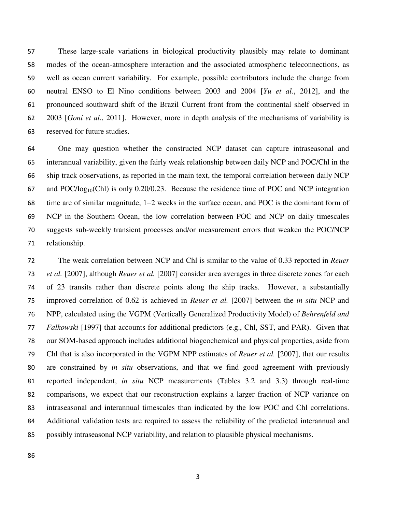These large-scale variations in biological productivity plausibly may relate to dominant modes of the ocean-atmosphere interaction and the associated atmospheric teleconnections, as 59 well as ocean current variability. For example, possible contributors include the change from 60 neutral ENSO to El Nino conditions between 2003 and 2004  $[Yu \ et \ al., \ 2012]$ , and the 61 pronounced southward shift of the Brazil Current front from the continental shelf observed in 62 2003 [*Goni et al.*, 2011]. However, more in depth analysis of the mechanisms of variability is reserved for future studies.

 One may question whether the constructed NCP dataset can capture intraseasonal and interannual variability, given the fairly weak relationship between daily NCP and POC/Chl in the ship track observations, as reported in the main text, the temporal correlation between daily NCP 67 and POC/log<sub>10</sub>(Chl) is only 0.20/0.23. Because the residence time of POC and NCP integration time are of similar magnitude, 1−2 weeks in the surface ocean, and POC is the dominant form of 69 NCP in the Southern Ocean, the low correlation between POC and NCP on daily timescales suggests sub-weekly transient processes and/or measurement errors that weaken the POC/NCP 71 relationship.

The weak correlation between NCP and Chl is similar to the value of 0.33 reported in Reuer 73 *et al.* [2007], although *Reuer et al.* [2007] consider area averages in three discrete zones for each of 23 transits rather than discrete points along the ship tracks. However, a substantially improved correlation of 0.62 is achieved in Reuer et al. [2007] between the in situ NCP and NPP, calculated using the VGPM (Vertically Generalized Productivity Model) of Behrenfeld and Falkowski [1997] that accounts for additional predictors (e.g., Chl, SST, and PAR). Given that our SOM-based approach includes additional biogeochemical and physical properties, aside from 79 Chl that is also incorporated in the VGPM NPP estimates of *Reuer et al.* [2007], that our results are constrained by in situ observations, and that we find good agreement with previously 81 reported independent, in situ NCP measurements (Tables 3.2 and 3.3) through real-time comparisons, we expect that our reconstruction explains a larger fraction of NCP variance on intraseasonal and interannual timescales than indicated by the low POC and Chl correlations. Additional validation tests are required to assess the reliability of the predicted interannual and possibly intraseasonal NCP variability, and relation to plausible physical mechanisms.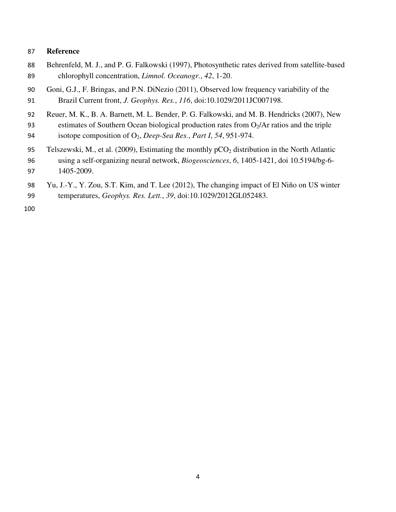# 87 Reference

- Behrenfeld, M. J., and P. G. Falkowski (1997), Photosynthetic rates derived from satellite-based 89 chlorophyll concentration, Limnol. Oceanogr., 42, 1-20.
- 90 Goni, G.J., F. Bringas, and P.N. DiNezio (2011), Observed low frequency variability of the 91 Brazil Current front, J. Geophys. Res., 116, doi:10.1029/2011JC007198.
- 92 Reuer, M. K., B. A. Barnett, M. L. Bender, P. G. Falkowski, and M. B. Hendricks (2007), New
- 93 estimates of Southern Ocean biological production rates from  $O_2/Ar$  ratios and the triple 94 isotope composition of  $O_2$ , Deep-Sea Res., Part I, 54, 951-974.
- 95 Telszewski, M., et al. (2009), Estimating the monthly  $pCO<sub>2</sub>$  distribution in the North Atlantic 96 using a self-organizing neural network, Biogeosciences, 6, 1405-1421, doi 10.5194/bg-6- 97 1405-2009.
- 98 Yu, J.-Y., Y. Zou, S.T. Kim, and T. Lee (2012), The changing impact of El Niño on US winter 99 temperatures, Geophys. Res. Lett., 39, doi:10.1029/2012GL052483.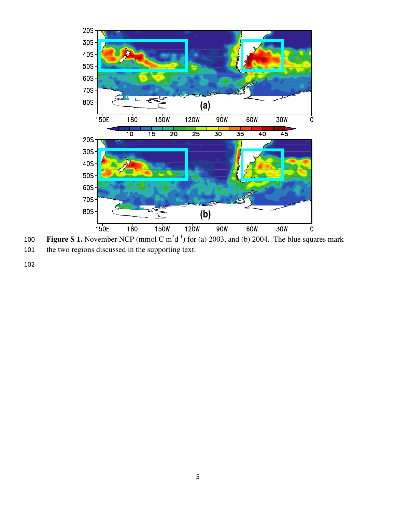

100 Figure S 1. November NCP (mmol C  $m^2d^{-1}$ ) for (a) 2003, and (b) 2004. The blue squares mark 101 the two regions discussed in the supporting text.